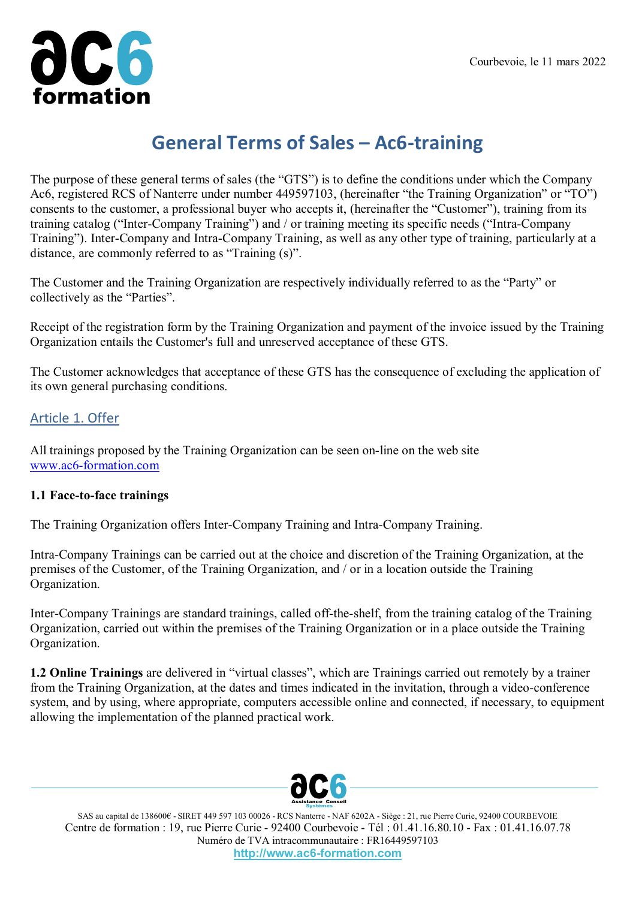

# **General Terms of Sales – Ac6-training**

The purpose of these general terms of sales (the "GTS") is to define the conditions under which the Company Ac6, registered RCS of Nanterre under number 449597103, (hereinafter "the Training Organization" or "TO") consents to the customer, a professional buyer who accepts it, (hereinafter the "Customer"), training from its training catalog ("Inter-Company Training") and / or training meeting its specific needs ("Intra-Company Training"). Inter-Company and Intra-Company Training, as well as any other type of training, particularly at a distance, are commonly referred to as "Training (s)".

The Customer and the Training Organization are respectively individually referred to as the "Party" or collectively as the "Parties".

Receipt of the registration form by the Training Organization and payment of the invoice issued by the Training Organization entails the Customer's full and unreserved acceptance of these GTS.

The Customer acknowledges that acceptance of these GTS has the consequence of excluding the application of its own general purchasing conditions.

#### Article 1. Offer

All trainings proposed by the Training Organization can be seen on-line on the web site [www.ac6-formation.com](https://www.ac6-training.com/)

#### **1.1 Face-to-face trainings**

The Training Organization offers Inter-Company Training and Intra-Company Training.

Intra-Company Trainings can be carried out at the choice and discretion of the Training Organization, at the premises of the Customer, of the Training Organization, and / or in a location outside the Training Organization.

Inter-Company Trainings are standard trainings, called off-the-shelf, from the training catalog of the Training Organization, carried out within the premises of the Training Organization or in a place outside the Training Organization.

**1.2 Online Trainings** are delivered in "virtual classes", which are Trainings carried out remotely by a trainer from the Training Organization, at the dates and times indicated in the invitation, through a video-conference system, and by using, where appropriate, computers accessible online and connected, if necessary, to equipment allowing the implementation of the planned practical work.



SAS au capital de 138600€ - SIRET 449 597 103 00026 - RCS Nanterre - NAF 6202A - Siège : 21, rue Pierre Curie, 92400 COURBEVOIE Centre de formation : 19, rue Pierre Curie - 92400 Courbevoie - Tél : 01.41.16.80.10 - Fax : 01.41.16.07.78 Numéro de TVA intracommunautaire : FR16449597103 **http://www.ac6-formation.com**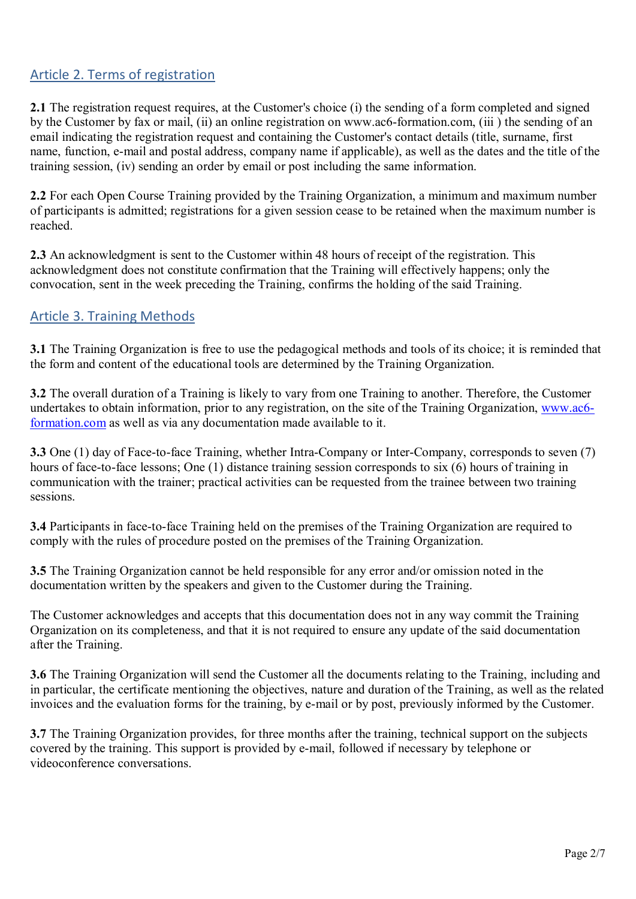# Article 2. Terms of registration

**2.1** The registration request requires, at the Customer's choice (i) the sending of a form completed and signed by the Customer by fax or mail, (ii) an online registration on www.ac6-formation.com, (iii ) the sending of an email indicating the registration request and containing the Customer's contact details (title, surname, first name, function, e-mail and postal address, company name if applicable), as well as the dates and the title of the training session, (iv) sending an order by email or post including the same information.

**2.2** For each Open Course Training provided by the Training Organization, a minimum and maximum number of participants is admitted; registrations for a given session cease to be retained when the maximum number is reached.

**2.3** An acknowledgment is sent to the Customer within 48 hours of receipt of the registration. This acknowledgment does not constitute confirmation that the Training will effectively happens; only the convocation, sent in the week preceding the Training, confirms the holding of the said Training.

# Article 3. Training Methods

**3.1** The Training Organization is free to use the pedagogical methods and tools of its choice; it is reminded that the form and content of the educational tools are determined by the Training Organization.

**3.2** The overall duration of a Training is likely to vary from one Training to another. Therefore, the Customer undertakes to obtain information, prior to any registration, on the site of the Training Organization, [www.ac6](http://www.ac6-formation.com/) [formation.com](http://www.ac6-formation.com/) as well as via any documentation made available to it.

**3.3** One (1) day of Face-to-face Training, whether Intra-Company or Inter-Company, corresponds to seven (7) hours of face-to-face lessons; One (1) distance training session corresponds to six (6) hours of training in communication with the trainer; practical activities can be requested from the trainee between two training sessions.

**3.4** Participants in face-to-face Training held on the premises of the Training Organization are required to comply with the rules of procedure posted on the premises of the Training Organization.

**3.5** The Training Organization cannot be held responsible for any error and/or omission noted in the documentation written by the speakers and given to the Customer during the Training.

The Customer acknowledges and accepts that this documentation does not in any way commit the Training Organization on its completeness, and that it is not required to ensure any update of the said documentation after the Training.

**3.6** The Training Organization will send the Customer all the documents relating to the Training, including and in particular, the certificate mentioning the objectives, nature and duration of the Training, as well as the related invoices and the evaluation forms for the training, by e-mail or by post, previously informed by the Customer.

**3.7** The Training Organization provides, for three months after the training, technical support on the subjects covered by the training. This support is provided by e-mail, followed if necessary by telephone or videoconference conversations.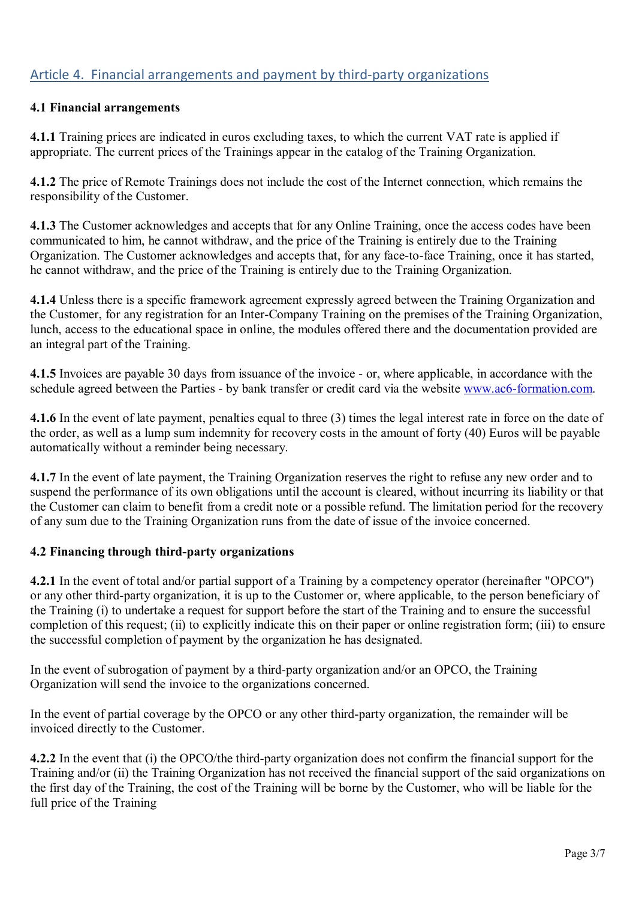# Article 4. Financial arrangements and payment by third-party organizations

#### **4.1 Financial arrangements**

**4.1.1** Training prices are indicated in euros excluding taxes, to which the current VAT rate is applied if appropriate. The current prices of the Trainings appear in the catalog of the Training Organization.

**4.1.2** The price of Remote Trainings does not include the cost of the Internet connection, which remains the responsibility of the Customer.

**4.1.3** The Customer acknowledges and accepts that for any Online Training, once the access codes have been communicated to him, he cannot withdraw, and the price of the Training is entirely due to the Training Organization. The Customer acknowledges and accepts that, for any face-to-face Training, once it has started, he cannot withdraw, and the price of the Training is entirely due to the Training Organization.

**4.1.4** Unless there is a specific framework agreement expressly agreed between the Training Organization and the Customer, for any registration for an Inter-Company Training on the premises of the Training Organization, lunch, access to the educational space in online, the modules offered there and the documentation provided are an integral part of the Training.

**4.1.5** Invoices are payable 30 days from issuance of the invoice - or, where applicable, in accordance with the schedule agreed between the Parties - by bank transfer or credit card via the website [www.ac6-formation.com.](http://www.ac6-formation.com/)

**4.1.6** In the event of late payment, penalties equal to three (3) times the legal interest rate in force on the date of the order, as well as a lump sum indemnity for recovery costs in the amount of forty (40) Euros will be payable automatically without a reminder being necessary.

**4.1.7** In the event of late payment, the Training Organization reserves the right to refuse any new order and to suspend the performance of its own obligations until the account is cleared, without incurring its liability or that the Customer can claim to benefit from a credit note or a possible refund. The limitation period for the recovery of any sum due to the Training Organization runs from the date of issue of the invoice concerned.

#### **4.2 Financing through third-party organizations**

**4.2.1** In the event of total and/or partial support of a Training by a competency operator (hereinafter "OPCO") or any other third-party organization, it is up to the Customer or, where applicable, to the person beneficiary of the Training (i) to undertake a request for support before the start of the Training and to ensure the successful completion of this request; (ii) to explicitly indicate this on their paper or online registration form; (iii) to ensure the successful completion of payment by the organization he has designated.

In the event of subrogation of payment by a third-party organization and/or an OPCO, the Training Organization will send the invoice to the organizations concerned.

In the event of partial coverage by the OPCO or any other third-party organization, the remainder will be invoiced directly to the Customer.

**4.2.2** In the event that (i) the OPCO/the third-party organization does not confirm the financial support for the Training and/or (ii) the Training Organization has not received the financial support of the said organizations on the first day of the Training, the cost of the Training will be borne by the Customer, who will be liable for the full price of the Training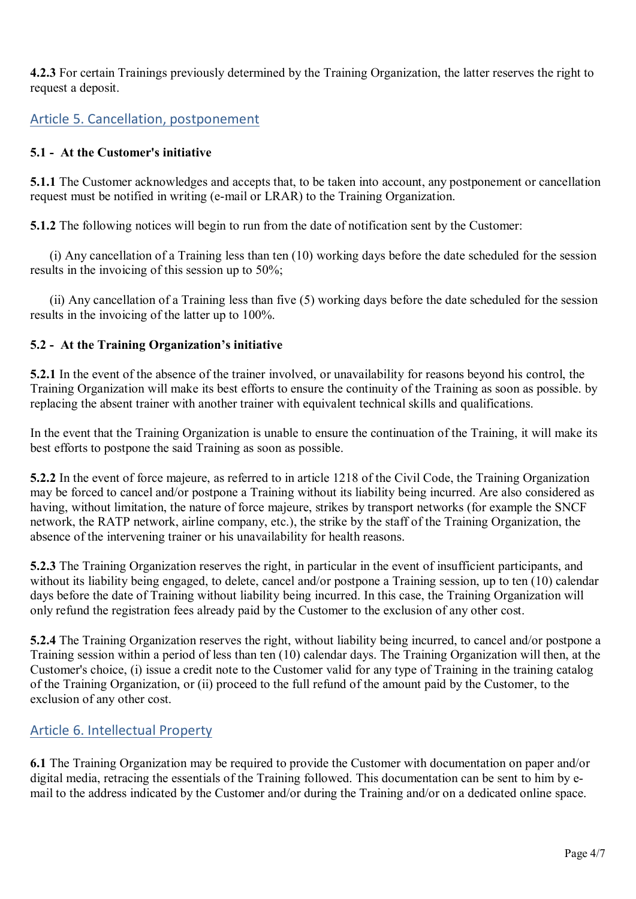**4.2.3** For certain Trainings previously determined by the Training Organization, the latter reserves the right to request a deposit.

# Article 5. Cancellation, postponement

### **5.1 - At the Customer's initiative**

**5.1.1** The Customer acknowledges and accepts that, to be taken into account, any postponement or cancellation request must be notified in writing (e-mail or LRAR) to the Training Organization.

**5.1.2** The following notices will begin to run from the date of notification sent by the Customer:

 (i) Any cancellation of a Training less than ten (10) working days before the date scheduled for the session results in the invoicing of this session up to 50%;

 (ii) Any cancellation of a Training less than five (5) working days before the date scheduled for the session results in the invoicing of the latter up to 100%.

# **5.2 - At the Training Organization's initiative**

**5.2.1** In the event of the absence of the trainer involved, or unavailability for reasons beyond his control, the Training Organization will make its best efforts to ensure the continuity of the Training as soon as possible. by replacing the absent trainer with another trainer with equivalent technical skills and qualifications.

In the event that the Training Organization is unable to ensure the continuation of the Training, it will make its best efforts to postpone the said Training as soon as possible.

**5.2.2** In the event of force majeure, as referred to in article 1218 of the Civil Code, the Training Organization may be forced to cancel and/or postpone a Training without its liability being incurred. Are also considered as having, without limitation, the nature of force majeure, strikes by transport networks (for example the SNCF network, the RATP network, airline company, etc.), the strike by the staff of the Training Organization, the absence of the intervening trainer or his unavailability for health reasons.

**5.2.3** The Training Organization reserves the right, in particular in the event of insufficient participants, and without its liability being engaged, to delete, cancel and/or postpone a Training session, up to ten (10) calendar days before the date of Training without liability being incurred. In this case, the Training Organization will only refund the registration fees already paid by the Customer to the exclusion of any other cost.

**5.2.4** The Training Organization reserves the right, without liability being incurred, to cancel and/or postpone a Training session within a period of less than ten (10) calendar days. The Training Organization will then, at the Customer's choice, (i) issue a credit note to the Customer valid for any type of Training in the training catalog of the Training Organization, or (ii) proceed to the full refund of the amount paid by the Customer, to the exclusion of any other cost.

# Article 6. Intellectual Property

**6.1** The Training Organization may be required to provide the Customer with documentation on paper and/or digital media, retracing the essentials of the Training followed. This documentation can be sent to him by email to the address indicated by the Customer and/or during the Training and/or on a dedicated online space.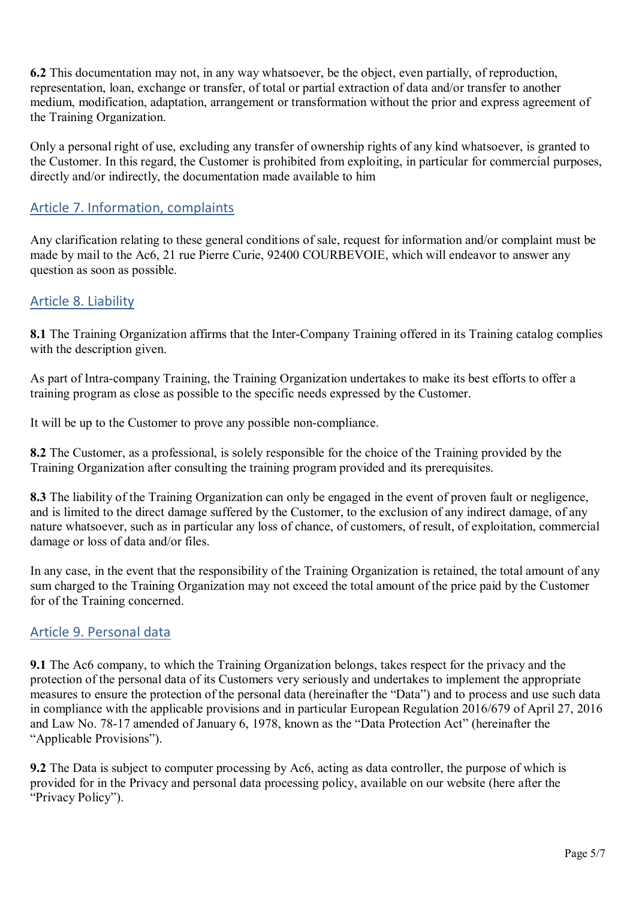**6.2** This documentation may not, in any way whatsoever, be the object, even partially, of reproduction, representation, loan, exchange or transfer, of total or partial extraction of data and/or transfer to another medium, modification, adaptation, arrangement or transformation without the prior and express agreement of the Training Organization.

Only a personal right of use, excluding any transfer of ownership rights of any kind whatsoever, is granted to the Customer. In this regard, the Customer is prohibited from exploiting, in particular for commercial purposes, directly and/or indirectly, the documentation made available to him

# Article 7. Information, complaints

Any clarification relating to these general conditions of sale, request for information and/or complaint must be made by mail to the Ac6, 21 rue Pierre Curie, 92400 COURBEVOIE, which will endeavor to answer any question as soon as possible.

# Article 8. Liability

**8.1** The Training Organization affirms that the Inter-Company Training offered in its Training catalog complies with the description given.

As part of Intra-company Training, the Training Organization undertakes to make its best efforts to offer a training program as close as possible to the specific needs expressed by the Customer.

It will be up to the Customer to prove any possible non-compliance.

**8.2** The Customer, as a professional, is solely responsible for the choice of the Training provided by the Training Organization after consulting the training program provided and its prerequisites.

**8.3** The liability of the Training Organization can only be engaged in the event of proven fault or negligence, and is limited to the direct damage suffered by the Customer, to the exclusion of any indirect damage, of any nature whatsoever, such as in particular any loss of chance, of customers, of result, of exploitation, commercial damage or loss of data and/or files.

In any case, in the event that the responsibility of the Training Organization is retained, the total amount of any sum charged to the Training Organization may not exceed the total amount of the price paid by the Customer for of the Training concerned.

# Article 9. Personal data

**9.1** The Ac6 company, to which the Training Organization belongs, takes respect for the privacy and the protection of the personal data of its Customers very seriously and undertakes to implement the appropriate measures to ensure the protection of the personal data (hereinafter the "Data") and to process and use such data in compliance with the applicable provisions and in particular European Regulation 2016/679 of April 27, 2016 and Law No. 78-17 amended of January 6, 1978, known as the "Data Protection Act" (hereinafter the "Applicable Provisions").

**9.2** The Data is subject to computer processing by Ac6, acting as data controller, the purpose of which is provided for in the Privacy and personal data processing policy, available on our website (here after the "Privacy Policy").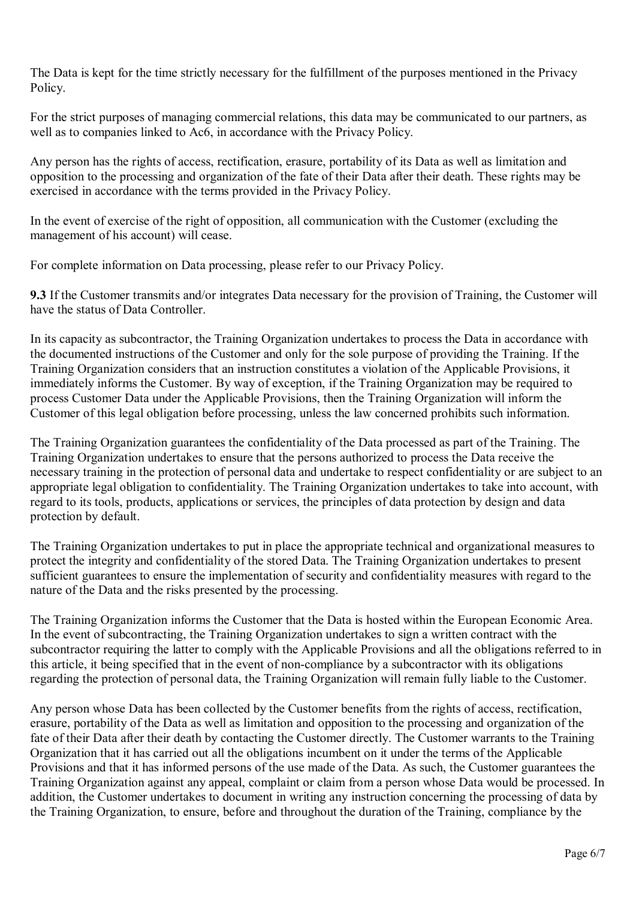The Data is kept for the time strictly necessary for the fulfillment of the purposes mentioned in the Privacy Policy.

For the strict purposes of managing commercial relations, this data may be communicated to our partners, as well as to companies linked to Ac6, in accordance with the Privacy Policy.

Any person has the rights of access, rectification, erasure, portability of its Data as well as limitation and opposition to the processing and organization of the fate of their Data after their death. These rights may be exercised in accordance with the terms provided in the Privacy Policy.

In the event of exercise of the right of opposition, all communication with the Customer (excluding the management of his account) will cease.

For complete information on Data processing, please refer to our Privacy Policy.

**9.3** If the Customer transmits and/or integrates Data necessary for the provision of Training, the Customer will have the status of Data Controller.

In its capacity as subcontractor, the Training Organization undertakes to process the Data in accordance with the documented instructions of the Customer and only for the sole purpose of providing the Training. If the Training Organization considers that an instruction constitutes a violation of the Applicable Provisions, it immediately informs the Customer. By way of exception, if the Training Organization may be required to process Customer Data under the Applicable Provisions, then the Training Organization will inform the Customer of this legal obligation before processing, unless the law concerned prohibits such information.

The Training Organization guarantees the confidentiality of the Data processed as part of the Training. The Training Organization undertakes to ensure that the persons authorized to process the Data receive the necessary training in the protection of personal data and undertake to respect confidentiality or are subject to an appropriate legal obligation to confidentiality. The Training Organization undertakes to take into account, with regard to its tools, products, applications or services, the principles of data protection by design and data protection by default.

The Training Organization undertakes to put in place the appropriate technical and organizational measures to protect the integrity and confidentiality of the stored Data. The Training Organization undertakes to present sufficient guarantees to ensure the implementation of security and confidentiality measures with regard to the nature of the Data and the risks presented by the processing.

The Training Organization informs the Customer that the Data is hosted within the European Economic Area. In the event of subcontracting, the Training Organization undertakes to sign a written contract with the subcontractor requiring the latter to comply with the Applicable Provisions and all the obligations referred to in this article, it being specified that in the event of non-compliance by a subcontractor with its obligations regarding the protection of personal data, the Training Organization will remain fully liable to the Customer.

Any person whose Data has been collected by the Customer benefits from the rights of access, rectification, erasure, portability of the Data as well as limitation and opposition to the processing and organization of the fate of their Data after their death by contacting the Customer directly. The Customer warrants to the Training Organization that it has carried out all the obligations incumbent on it under the terms of the Applicable Provisions and that it has informed persons of the use made of the Data. As such, the Customer guarantees the Training Organization against any appeal, complaint or claim from a person whose Data would be processed. In addition, the Customer undertakes to document in writing any instruction concerning the processing of data by the Training Organization, to ensure, before and throughout the duration of the Training, compliance by the